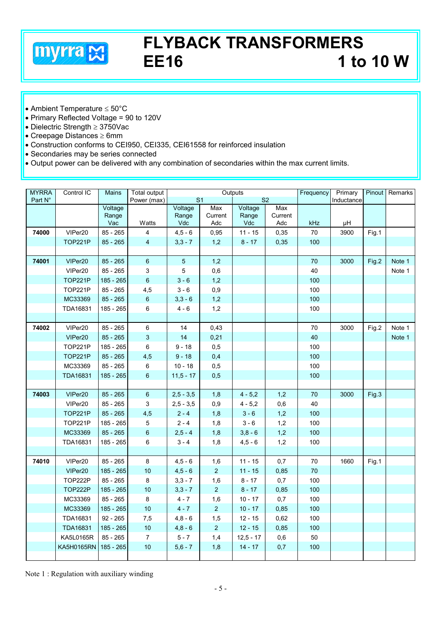

## **FLYBACK TRANSFORMERS EE16 1 to 10 W**

- Ambient Temperature ≤ 50°C
- Primary Reflected Voltage = 90 to 120V
- Dielectric Strength ≥ 3750Vac
- Creepage Distances ≥ 6mm
- Construction conforms to CEI950, CEI335, CEI61558 for reinforced insulation
- Secondaries may be series connected
- Output power can be delivered with any combination of secondaries within the max current limits.

| <b>MYRRA</b> | Control IC        | Mains        | <b>Total output</b> | Outputs                          |                |              |                | Frequency  | Primary | Pinout | Remarks |
|--------------|-------------------|--------------|---------------------|----------------------------------|----------------|--------------|----------------|------------|---------|--------|---------|
| Part N°      |                   |              | Power (max)         | S <sub>1</sub><br>S <sub>2</sub> |                |              |                | Inductance |         |        |         |
|              |                   | Voltage      |                     | Voltage                          | Max            | Voltage      | Max            |            |         |        |         |
|              |                   | Range<br>Vac | Watts               | Range<br>Vdc                     | Current<br>Adc | Range<br>Vdc | Current<br>Adc | <b>kHz</b> | μH      |        |         |
| 74000        | VIPer20           | $85 - 265$   | 4                   | $4,5 - 6$                        | 0,95           | $11 - 15$    | 0,35           | 70         | 3900    | Fig.1  |         |
|              | <b>TOP221P</b>    | $85 - 265$   | 4                   | $3,3 - 7$                        | 1,2            | $8 - 17$     | 0,35           | 100        |         |        |         |
|              |                   |              |                     |                                  |                |              |                |            |         |        |         |
| 74001        | VIPer20           | $85 - 265$   | $\boldsymbol{6}$    | $\overline{5}$                   | 1,2            |              |                | 70         | 3000    | Fig.2  | Note 1  |
|              | VIPer20           | $85 - 265$   | 3                   | 5                                | 0,6            |              |                | 40         |         |        | Note 1  |
|              | TOP221P           | 185 - 265    | $\,6\,$             | $3 - 6$                          | 1,2            |              |                | 100        |         |        |         |
|              | <b>TOP221P</b>    | $85 - 265$   | 4,5                 | $3 - 6$                          | 0,9            |              |                | 100        |         |        |         |
|              | MC33369           | $85 - 265$   | $\,6\,$             | $3.3 - 6$                        | 1,2            |              |                | 100        |         |        |         |
|              | <b>TDA16831</b>   | 185 - 265    | 6                   | $4 - 6$                          | 1,2            |              |                | 100        |         |        |         |
|              |                   |              |                     |                                  |                |              |                |            |         |        |         |
| 74002        | VIPer20           | $85 - 265$   | 6                   | 14                               | 0,43           |              |                | 70         | 3000    | Fig.2  | Note 1  |
|              | VIPer20           | $85 - 265$   | 3                   | 14                               | 0,21           |              |                | 40         |         |        | Note 1  |
|              | TOP221P           | 185 - 265    | 6                   | $9 - 18$                         | 0,5            |              |                | 100        |         |        |         |
|              | <b>TOP221P</b>    | $85 - 265$   | 4,5                 | $9 - 18$                         | 0,4            |              |                | 100        |         |        |         |
|              | MC33369           | $85 - 265$   | 6                   | $10 - 18$                        | 0,5            |              |                | 100        |         |        |         |
|              | <b>TDA16831</b>   | 185 - 265    | 6                   | $11.5 - 17$                      | 0,5            |              |                | 100        |         |        |         |
|              |                   |              |                     |                                  |                |              |                |            |         |        |         |
| 74003        | VIPer20           | $85 - 265$   | 6                   | $2,5 - 3,5$                      | 1,8            | $4 - 5,2$    | 1,2            | 70         | 3000    | Fig.3  |         |
|              | VIPer20           | 85 - 265     | 3                   | $2,5 - 3,5$                      | 0,9            | $4 - 5,2$    | 0,6            | 40         |         |        |         |
|              | <b>TOP221P</b>    | $85 - 265$   | 4,5                 | $2 - 4$                          | 1,8            | $3 - 6$      | 1,2            | 100        |         |        |         |
|              | <b>TOP221P</b>    | 185 - 265    | $\mathbf 5$         | $2 - 4$                          | 1,8            | $3 - 6$      | 1,2            | 100        |         |        |         |
|              | MC33369           | $85 - 265$   | $\,6\,$             | $2, 5 - 4$                       | 1,8            | $3,8 - 6$    | 1,2            | 100        |         |        |         |
|              | TDA16831          | 185 - 265    | 6                   | $3 - 4$                          | 1,8            | $4,5 - 6$    | 1,2            | 100        |         |        |         |
|              |                   |              |                     |                                  |                |              |                |            |         |        |         |
| 74010        | VIPer20           | 85 - 265     | 8                   | $4,5 - 6$                        | 1,6            | $11 - 15$    | 0,7            | $70\,$     | 1660    | Fig.1  |         |
|              | VIPer20           | 185 - 265    | 10                  | $4,5 - 6$                        | $\overline{2}$ | $11 - 15$    | 0,85           | 70         |         |        |         |
|              | TOP222P           | $85 - 265$   | 8                   | $3,3 - 7$                        | 1,6            | $8 - 17$     | 0,7            | 100        |         |        |         |
|              | TOP222P           | 185 - 265    | 10                  | $3,3 - 7$                        | $\overline{2}$ | $8 - 17$     | 0,85           | 100        |         |        |         |
|              | MC33369           | $85 - 265$   | 8                   | $4 - 7$                          | 1,6            | $10 - 17$    | 0,7            | 100        |         |        |         |
|              | MC33369           | 185 - 265    | 10                  | $4 - 7$                          | $\overline{2}$ | $10 - 17$    | 0,85           | 100        |         |        |         |
|              | TDA16831          | $92 - 265$   | 7,5                 | $4,8 - 6$                        | 1,5            | $12 - 15$    | 0,62           | 100        |         |        |         |
|              | <b>TDA16831</b>   | 185 - 265    | 10                  | $4,8 - 6$                        | 2 <sup>2</sup> | $12 - 15$    | 0,85           | 100        |         |        |         |
|              | <b>KA5L0165R</b>  | $85 - 265$   | $\overline{7}$      | $5 - 7$                          | 1,4            | $12,5 - 17$  | 0,6            | 50         |         |        |         |
|              | <b>KA5H0165RN</b> | 185 - 265    | 10                  | $5,6 - 7$                        | 1,8            | $14 - 17$    | 0,7            | 100        |         |        |         |
|              |                   |              |                     |                                  |                |              |                |            |         |        |         |

Note 1 : Regulation with auxiliary winding